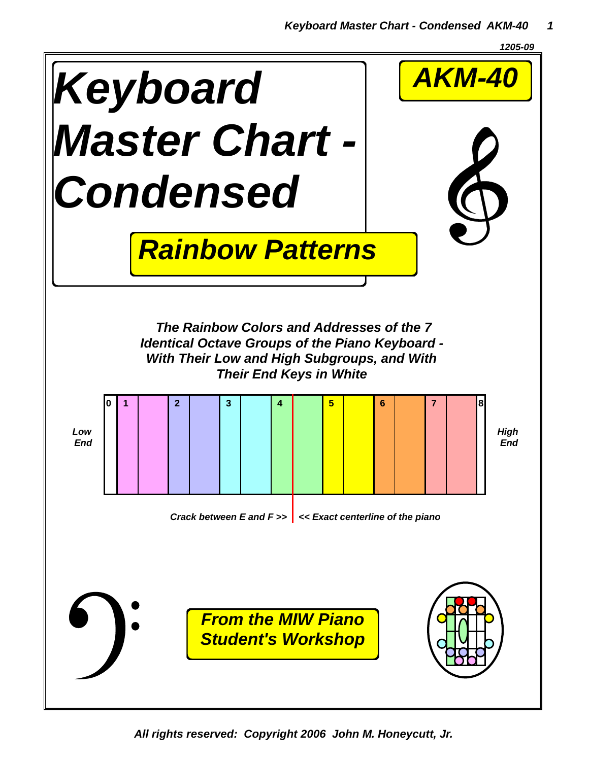



*All rights reserved: Copyright 2006 John M. Honeycutt, Jr.*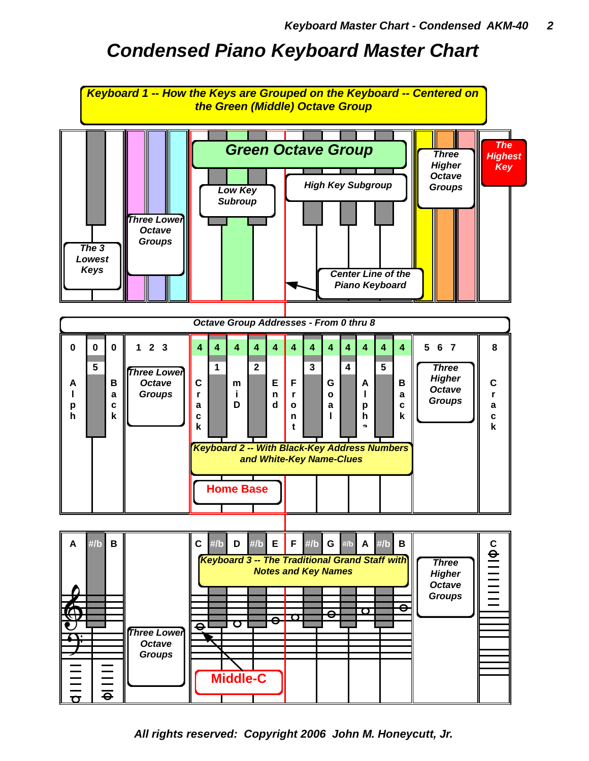## *Condensed Piano Keyboard Master Chart*



*All rights reserved: Copyright 2006 John M. Honeycutt, Jr.*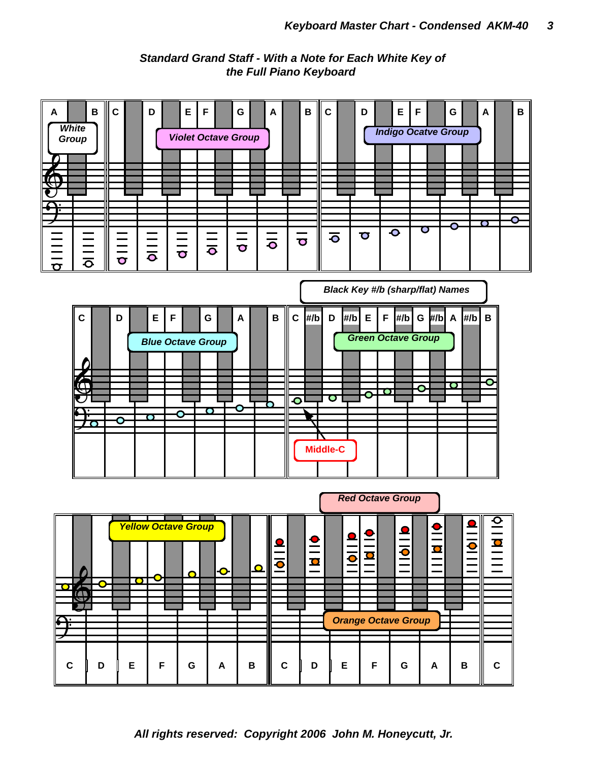*Standard Grand Staff - With a Note for Each White Key of the Full Piano Keyboard*



*All rights reserved: Copyright 2006 John M. Honeycutt, Jr.*